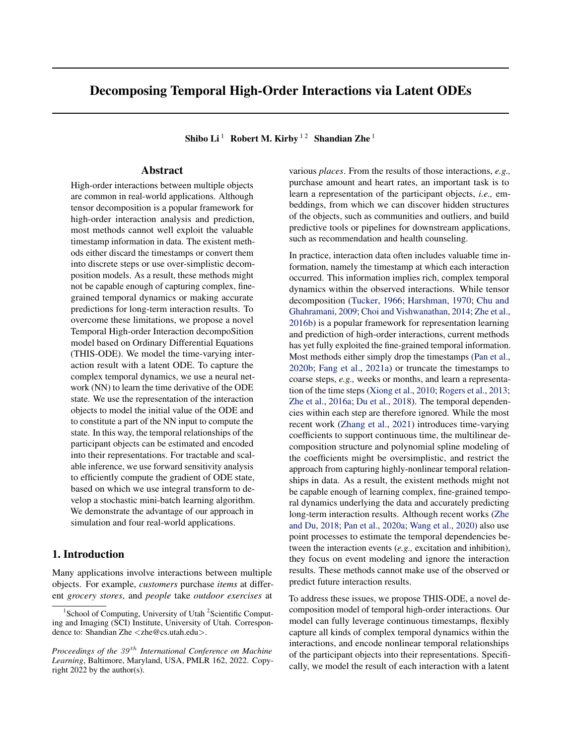# Decomposing Temporal High-Order Interactions via Latent ODEs

Shibo Li<sup>1</sup> Robert M. Kirby <sup>12</sup> Shandian Zhe<sup>1</sup>

# Abstract

High-order interactions between multiple objects are common in real-world applications. Although tensor decomposition is a popular framework for high-order interaction analysis and prediction, most methods cannot well exploit the valuable timestamp information in data. The existent methods either discard the timestamps or convert them into discrete steps or use over-simplistic decomposition models. As a result, these methods might not be capable enough of capturing complex, finegrained temporal dynamics or making accurate predictions for long-term interaction results. To overcome these limitations, we propose a novel Temporal High-order Interaction decompoSition model based on Ordinary Differential Equations (THIS-ODE). We model the time-varying interaction result with a latent ODE. To capture the complex temporal dynamics, we use a neural network (NN) to learn the time derivative of the ODE state. We use the representation of the interaction objects to model the initial value of the ODE and to constitute a part of the NN input to compute the state. In this way, the temporal relationships of the participant objects can be estimated and encoded into their representations. For tractable and scalable inference, we use forward sensitivity analysis to efficiently compute the gradient of ODE state, based on which we use integral transform to develop a stochastic mini-batch learning algorithm. We demonstrate the advantage of our approach in simulation and four real-world applications.

## 1. Introduction

Many applications involve interactions between multiple objects. For example, *customers* purchase *items* at different *grocery stores*, and *people* take *outdoor exercises* at

various *places*. From the results of those interactions, *e.g.,* purchase amount and heart rates, an important task is to learn a representation of the participant objects, *i.e.,* embeddings, from which we can discover hidden structures of the objects, such as communities and outliers, and build predictive tools or pipelines for downstream applications, such as recommendation and health counseling.

In practice, interaction data often includes valuable time information, namely the timestamp at which each interaction occurred. This information implies rich, complex temporal dynamics within the observed interactions. While tensor decomposition [\(Tucker,](#page-10-0) [1966;](#page-10-0) [Harshman,](#page-9-0) [1970;](#page-9-0) [Chu and](#page-9-1) [Ghahramani,](#page-9-1) [2009;](#page-9-1) [Choi and Vishwanathan,](#page-9-2) [2014;](#page-9-2) [Zhe et al.,](#page-10-1) [2016b\)](#page-10-1) is a popular framework for representation learning and prediction of high-order interactions, current methods has yet fully exploited the fine-grained temporal information. Most methods either simply drop the timestamps [\(Pan et al.,](#page-9-3) [2020b;](#page-9-3) [Fang et al.,](#page-9-4) [2021a\)](#page-9-4) or truncate the timestamps to coarse steps, *e.g.,* weeks or months, and learn a representation of the time steps [\(Xiong et al.,](#page-10-2) [2010;](#page-10-2) [Rogers et al.,](#page-9-5) [2013;](#page-9-5) [Zhe et al.,](#page-10-3) [2016a;](#page-10-3) [Du et al.,](#page-9-6) [2018\)](#page-9-6). The temporal dependencies within each step are therefore ignored. While the most recent work [\(Zhang et al.,](#page-10-4) [2021\)](#page-10-4) introduces time-varying coefficients to support continuous time, the multilinear decomposition structure and polynomial spline modeling of the coefficients might be oversimplistic, and restrict the approach from capturing highly-nonlinear temporal relationships in data. As a result, the existent methods might not be capable enough of learning complex, fine-grained temporal dynamics underlying the data and accurately predicting long-term interaction results. Although recent works [\(Zhe](#page-10-5) [and Du,](#page-10-5) [2018;](#page-10-5) [Pan et al.,](#page-9-7) [2020a;](#page-9-7) [Wang et al.,](#page-10-6) [2020\)](#page-10-6) also use point processes to estimate the temporal dependencies between the interaction events (*e.g.,* excitation and inhibition), they focus on event modeling and ignore the interaction results. These methods cannot make use of the observed or predict future interaction results.

To address these issues, we propose THIS-ODE, a novel decomposition model of temporal high-order interactions. Our model can fully leverage continuous timestamps, flexibly capture all kinds of complex temporal dynamics within the interactions, and encode nonlinear temporal relationships of the participant objects into their representations. Specifically, we model the result of each interaction with a latent

<sup>&</sup>lt;sup>1</sup>School of Computing, University of Utah<sup>2</sup>Scientific Computing and Imaging (SCI) Institute, University of Utah. Correspondence to: Shandian Zhe <zhe@cs.utah.edu>.

*Proceedings of the*  $39<sup>th</sup>$  *International Conference on Machine Learning*, Baltimore, Maryland, USA, PMLR 162, 2022. Copyright 2022 by the author(s).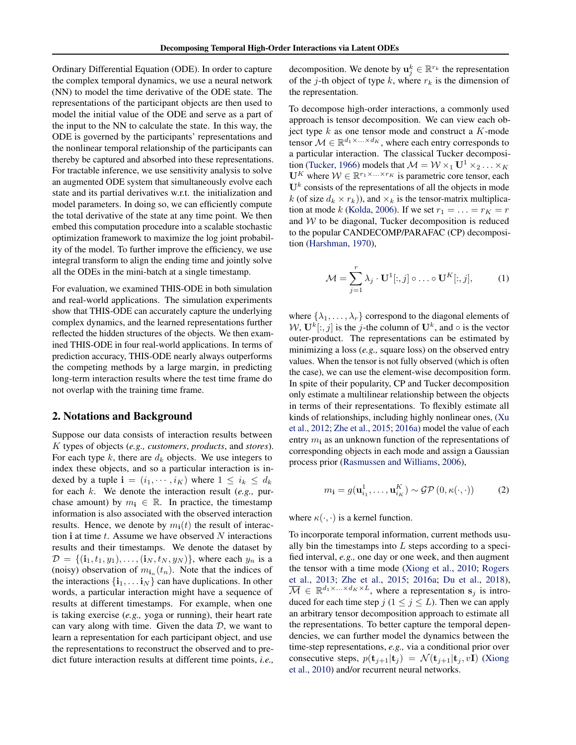Ordinary Differential Equation (ODE). In order to capture the complex temporal dynamics, we use a neural network (NN) to model the time derivative of the ODE state. The representations of the participant objects are then used to model the initial value of the ODE and serve as a part of the input to the NN to calculate the state. In this way, the ODE is governed by the participants' representations and the nonlinear temporal relationship of the participants can thereby be captured and absorbed into these representations. For tractable inference, we use sensitivity analysis to solve an augmented ODE system that simultaneously evolve each state and its partial derivatives w.r.t. the initialization and model parameters. In doing so, we can efficiently compute the total derivative of the state at any time point. We then embed this computation procedure into a scalable stochastic optimization framework to maximize the log joint probability of the model. To further improve the efficiency, we use integral transform to align the ending time and jointly solve all the ODEs in the mini-batch at a single timestamp.

For evaluation, we examined THIS-ODE in both simulation and real-world applications. The simulation experiments show that THIS-ODE can accurately capture the underlying complex dynamics, and the learned representations further reflected the hidden structures of the objects. We then examined THIS-ODE in four real-world applications. In terms of prediction accuracy, THIS-ODE nearly always outperforms the competing methods by a large margin, in predicting long-term interaction results where the test time frame do not overlap with the training time frame.

#### 2. Notations and Background

Suppose our data consists of interaction results between K types of objects (*e.g., customers*, *products*, and *stores*). For each type k, there are  $d_k$  objects. We use integers to index these objects, and so a particular interaction is indexed by a tuple  $\mathbf{i} = (i_1, \dots, i_K)$  where  $1 \leq i_k \leq d_k$ for each k. We denote the interaction result (*e.g.,* purchase amount) by  $m_i \in \mathbb{R}$ . In practice, the timestamp information is also associated with the observed interaction results. Hence, we denote by  $m_i(t)$  the result of interaction i at time  $t$ . Assume we have observed  $N$  interactions results and their timestamps. We denote the dataset by  $\mathcal{D} = \{(\mathbf{i}_1, t_1, y_1), \dots, (\mathbf{i}_N, t_N, y_N)\}\$ , where each  $y_n$  is a (noisy) observation of  $m_{\mathbf{i}_n}(t_n)$ . Note that the indices of the interactions  $\{\mathbf{i}_1, \dots \mathbf{i}_N\}$  can have duplications. In other words, a particular interaction might have a sequence of results at different timestamps. For example, when one is taking exercise (*e.g.,* yoga or running), their heart rate can vary along with time. Given the data  $D$ , we want to learn a representation for each participant object, and use the representations to reconstruct the observed and to predict future interaction results at different time points, *i.e.,*

decomposition. We denote by  $\mathbf{u}_j^k \in \mathbb{R}^{r_k}$  the representation of the j-th object of type k, where  $r_k$  is the dimension of the representation.

To decompose high-order interactions, a commonly used approach is tensor decomposition. We can view each object type  $k$  as one tensor mode and construct a  $K$ -mode tensor  $\mathcal{M} \in \mathbb{R}^{d_1 \times \ldots \times d_K}$ , where each entry corresponds to a particular interaction. The classical Tucker decomposi-tion [\(Tucker,](#page-10-0) [1966\)](#page-10-0) models that  $\mathcal{M} = \mathcal{W} \times_1 \mathbf{U}^1 \times_2 \ldots \times_K$  $\mathbf{U}^K$  where  $\mathcal{W} \in \mathbb{R}^{r_1 \times \ldots \times r_K}$  is parametric core tensor, each  $U<sup>k</sup>$  consists of the representations of all the objects in mode k (of size  $d_k \times r_k$ )), and  $\times_k$  is the tensor-matrix multiplica-tion at mode k [\(Kolda,](#page-9-8) [2006\)](#page-9-8). If we set  $r_1 = \ldots = r_K = r$ and  $W$  to be diagonal, Tucker decomposition is reduced to the popular CANDECOMP/PARAFAC (CP) decomposition [\(Harshman,](#page-9-0) [1970\)](#page-9-0),

<span id="page-1-0"></span>
$$
\mathcal{M} = \sum_{j=1}^{r} \lambda_j \cdot \mathbf{U}^1[:, j] \circ \dots \circ \mathbf{U}^K[:, j], \tag{1}
$$

where  $\{\lambda_1, \ldots, \lambda_r\}$  correspond to the diagonal elements of  $W, \mathbf{U}^k[:, j]$  is the *j*-the column of  $\mathbf{U}^k$ , and  $\circ$  is the vector outer-product. The representations can be estimated by minimizing a loss (*e.g.,* square loss) on the observed entry values. When the tensor is not fully observed (which is often the case), we can use the element-wise decomposition form. In spite of their popularity, CP and Tucker decomposition only estimate a multilinear relationship between the objects in terms of their representations. To flexibly estimate all kinds of relationships, including highly nonlinear ones, [\(Xu](#page-10-7) [et al.,](#page-10-7) [2012;](#page-10-7) [Zhe et al.,](#page-10-8) [2015;](#page-10-8) [2016a\)](#page-10-3) model the value of each entry  $m_i$  as an unknown function of the representations of corresponding objects in each mode and assign a Gaussian process prior [\(Rasmussen and Williams,](#page-9-9) [2006\)](#page-9-9),

$$
m_{\mathbf{i}} = g(\mathbf{u}_{i_1}^1, \dots, \mathbf{u}_{i_K}^K) \sim \mathcal{GP}(0, \kappa(\cdot, \cdot)) \tag{2}
$$

where  $\kappa(\cdot, \cdot)$  is a kernel function.

To incorporate temporal information, current methods usually bin the timestamps into  $L$  steps according to a specified interval, *e.g.,* one day or one week, and then augment the tensor with a time mode [\(Xiong et al.,](#page-10-2) [2010;](#page-10-2) [Rogers](#page-9-5) [et al.,](#page-9-5) [2013;](#page-9-5) [Zhe et al.,](#page-10-8) [2015;](#page-10-8) [2016a;](#page-10-3) [Du et al.,](#page-9-6) [2018\)](#page-9-6),  $\overline{\mathcal{M}} \in \mathbb{R}^{d_1 \times \ldots \times d_K \times L}$ , where a representation  $s_j$  is introduced for each time step  $j$  ( $1 \le j \le L$ ). Then we can apply an arbitrary tensor decomposition approach to estimate all the representations. To better capture the temporal dependencies, we can further model the dynamics between the time-step representations, *e.g.,* via a conditional prior over consecutive steps,  $p(\mathbf{t}_{i+1}|\mathbf{t}_i) = \mathcal{N}(\mathbf{t}_{i+1}|\mathbf{t}_i, v\mathbf{I})$  [\(Xiong](#page-10-2) [et al.,](#page-10-2) [2010\)](#page-10-2) and/or recurrent neural networks.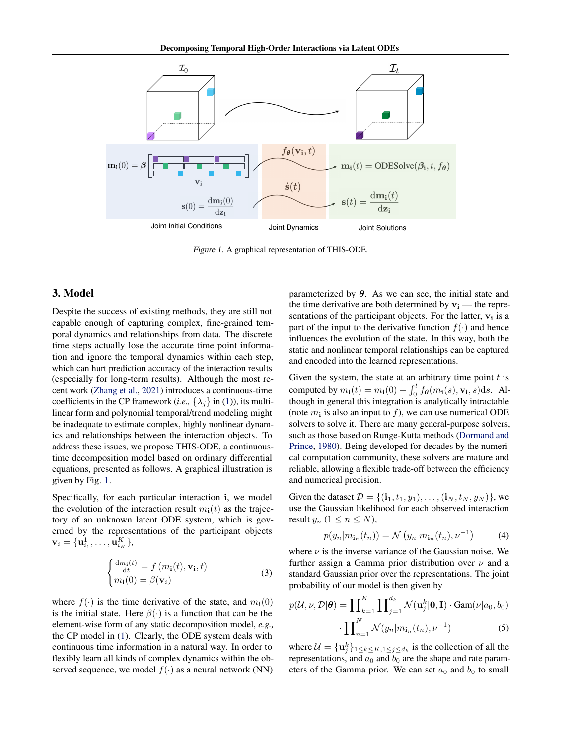<span id="page-2-0"></span>

Figure 1. A graphical representation of THIS-ODE.

## 3. Model

Despite the success of existing methods, they are still not capable enough of capturing complex, fine-grained temporal dynamics and relationships from data. The discrete time steps actually lose the accurate time point information and ignore the temporal dynamics within each step, which can hurt prediction accuracy of the interaction results (especially for long-term results). Although the most recent work [\(Zhang et al.,](#page-10-4) [2021\)](#page-10-4) introduces a continuous-time coefficients in the CP framework (*i.e.*,  $\{\lambda_j\}$  in [\(1\)](#page-1-0)), its multilinear form and polynomial temporal/trend modeling might be inadequate to estimate complex, highly nonlinear dynamics and relationships between the interaction objects. To address these issues, we propose THIS-ODE, a continuoustime decomposition model based on ordinary differential equations, presented as follows. A graphical illustration is given by Fig. [1.](#page-2-0)

Specifically, for each particular interaction i, we model the evolution of the interaction result  $m_i(t)$  as the trajectory of an unknown latent ODE system, which is governed by the representations of the participant objects  $\mathbf{v}_i = \{\mathbf{u}_{i_1}^1, \dots, \mathbf{u}_{i_K}^K\},$ 

$$
\begin{cases}\n\frac{\mathrm{d}m_{\mathbf{i}}(t)}{\mathrm{d}t} = f(m_{\mathbf{i}}(t), \mathbf{v}_{\mathbf{i}}, t) \\
m_{\mathbf{i}}(0) = \beta(\mathbf{v}_i)\n\end{cases}
$$
\n(3)

where  $f(\cdot)$  is the time derivative of the state, and  $m_i(0)$ is the initial state. Here  $\beta(\cdot)$  is a function that can be the element-wise form of any static decomposition model, *e.g.,* the CP model in [\(1\)](#page-1-0). Clearly, the ODE system deals with continuous time information in a natural way. In order to flexibly learn all kinds of complex dynamics within the observed sequence, we model  $f(\cdot)$  as a neural network (NN) parameterized by  $\theta$ . As we can see, the initial state and the time derivative are both determined by  $v_i$  — the representations of the participant objects. For the latter,  $v_i$  is a part of the input to the derivative function  $f(\cdot)$  and hence influences the evolution of the state. In this way, both the static and nonlinear temporal relationships can be captured and encoded into the learned representations.

Given the system, the state at an arbitrary time point  $t$  is computed by  $m_i(t) = m_i(0) + \int_0^t f_{\theta}(m_i(s), \mathbf{v_i}, s) ds$ . Although in general this integration is analytically intractable (note  $m_i$  is also an input to  $f$ ), we can use numerical ODE solvers to solve it. There are many general-purpose solvers, such as those based on Runge-Kutta methods [\(Dormand and](#page-9-10) [Prince,](#page-9-10) [1980\)](#page-9-10). Being developed for decades by the numerical computation community, these solvers are mature and reliable, allowing a flexible trade-off between the efficiency and numerical precision.

Given the dataset  $D = \{({\bf i}_1, t_1, y_1), \dots, ({\bf i}_N, t_N, y_N)\}\,$ , we use the Gaussian likelihood for each observed interaction result  $y_n$   $(1 \leq n \leq N)$ ,

<span id="page-2-1"></span>
$$
p(y_n|m_{\mathbf{i}_n}(t_n)) = \mathcal{N}\left(y_n|m_{\mathbf{i}_n}(t_n), \nu^{-1}\right) \tag{4}
$$

<span id="page-2-2"></span>where  $\nu$  is the inverse variance of the Gaussian noise. We further assign a Gamma prior distribution over  $\nu$  and a standard Gaussian prior over the representations. The joint probability of our model is then given by

$$
p(\mathcal{U}, \nu, \mathcal{D}|\boldsymbol{\theta}) = \prod_{k=1}^{K} \prod_{j=1}^{d_k} \mathcal{N}(\mathbf{u}_j^k | \mathbf{0}, \mathbf{I}) \cdot \text{Gam}(\nu | a_0, b_0)
$$

$$
\cdot \prod_{n=1}^{N} \mathcal{N}(y_n | m_{\mathbf{i}_n}(t_n), \nu^{-1}) \tag{5}
$$

where  $\mathcal{U} = {\mathbf{u}_j^k}_{1 \leq k \leq K, 1 \leq j \leq d_k}$  is the collection of all the representations, and  $a_0$  and  $b_0$  are the shape and rate parameters of the Gamma prior. We can set  $a_0$  and  $b_0$  to small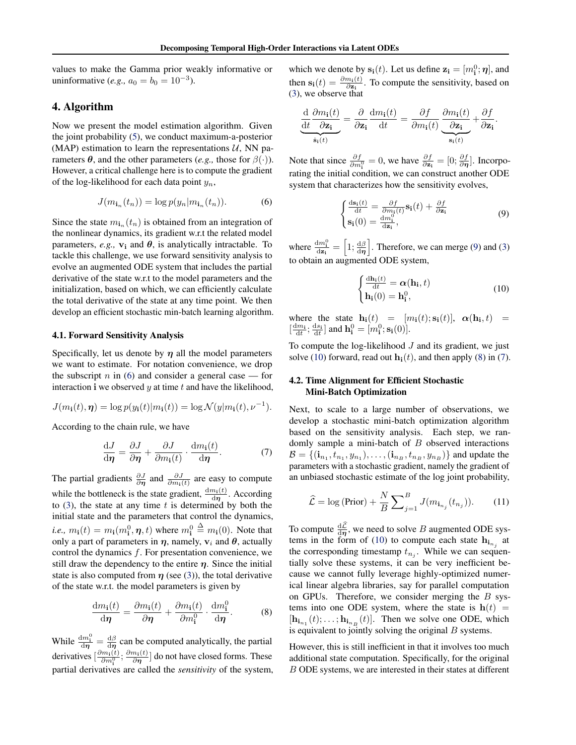values to make the Gamma prior weakly informative or uninformative (*e.g.*,  $a_0 = b_0 = 10^{-3}$ ).

# 4. Algorithm

Now we present the model estimation algorithm. Given the joint probability [\(5\)](#page-2-1), we conduct maximum-a-posterior (MAP) estimation to learn the representations  $U$ , NN parameters  $\theta$ , and the other parameters (*e.g.*, those for  $\beta(\cdot)$ ). However, a critical challenge here is to compute the gradient of the log-likelihood for each data point  $y_n$ ,

$$
J(m_{\mathbf{i}_n}(t_n)) = \log p(y_n|m_{\mathbf{i}_n}(t_n)).\tag{6}
$$

Since the state  $m_{\mathbf{i}_n}(t_n)$  is obtained from an integration of the nonlinear dynamics, its gradient w.r.t the related model parameters, *e.g.*,  $v_i$  and  $\theta$ , is analytically intractable. To tackle this challenge, we use forward sensitivity analysis to evolve an augmented ODE system that includes the partial derivative of the state w.r.t to the model parameters and the initialization, based on which, we can efficiently calculate the total derivative of the state at any time point. We then develop an efficient stochastic min-batch learning algorithm.

#### 4.1. Forward Sensitivity Analysis

Specifically, let us denote by  $\eta$  all the model parameters we want to estimate. For notation convenience, we drop the subscript  $n$  in [\(6\)](#page-3-0) and consider a general case — for interaction i we observed  $y$  at time  $t$  and have the likelihood,

$$
J(m_{\mathbf{i}}(t), \boldsymbol{\eta}) = \log p(y_{\mathbf{i}}(t)|m_{\mathbf{i}}(t)) = \log \mathcal{N}(y|m_{\mathbf{i}}(t), \nu^{-1}).
$$

According to the chain rule, we have

$$
\frac{\mathrm{d}J}{\mathrm{d}\eta} = \frac{\partial J}{\partial \eta} + \frac{\partial J}{\partial m_{\mathbf{i}}(t)} \cdot \frac{\mathrm{d}m_{\mathbf{i}}(t)}{\mathrm{d}\eta}.\tag{7}
$$

The partial gradients  $\frac{\partial J}{\partial \eta}$  and  $\frac{\partial J}{\partial m_1(t)}$  are easy to compute while the bottleneck is the state gradient,  $\frac{dm_i(t)}{d\eta}$ . According to [\(3\)](#page-2-2), the state at any time  $t$  is determined by both the initial state and the parameters that control the dynamics, *i.e.*,  $m_i(t) = m_i(m_i^0, \eta, t)$  where  $m_i^0 \triangleq m_i(0)$ . Note that only a part of parameters in  $\eta$ , namely,  $v_i$  and  $\theta$ , actually control the dynamics  $f$ . For presentation convenience, we still draw the dependency to the entire  $\eta$ . Since the initial state is also computed from  $\eta$  (see [\(3\)](#page-2-2)), the total derivative of the state w.r.t. the model parameters is given by

$$
\frac{\mathrm{d}m_{\mathbf{i}}(t)}{\mathrm{d}\eta} = \frac{\partial m_{\mathbf{i}}(t)}{\partial \eta} + \frac{\partial m_{\mathbf{i}}(t)}{\partial m_{\mathbf{i}}^0} \cdot \frac{\mathrm{d}m_{\mathbf{i}}^0}{\mathrm{d}\eta}.\tag{8}
$$

While  $\frac{dm_1^0}{d\eta} = \frac{d\beta}{d\eta}$  can be computed analytically, the partial derivatives  $\left[\frac{\partial m_1(t)}{\partial m_1^0}; \frac{\partial m_1(t)}{\partial \eta}\right]$  do not have closed forms. These partial derivatives are called the *sensitivity* of the system, which we denote by  $s_i(t)$ . Let us define  $z_i = [m_i^0; \eta]$ , and then  $\mathbf{s_i}(t) = \frac{\partial m_i(t)}{\partial \mathbf{z_i}}$ . To compute the sensitivity, based on [\(3\)](#page-2-2), we observe that

$$
\frac{\mathrm{d}}{\mathrm{d}t}\frac{\partial m_{\mathbf{i}}(t)}{\partial \mathbf{z}_{\mathbf{i}}} = \frac{\partial}{\partial \mathbf{z}_{\mathbf{i}}} \frac{\mathrm{d}m_{\mathbf{i}}(t)}{\mathrm{d}t} = \frac{\partial f}{\partial m_{\mathbf{i}}(t)} \underbrace{\frac{\partial m_{\mathbf{i}}(t)}{\partial \mathbf{z}_{\mathbf{i}}} + \frac{\partial f}{\partial \mathbf{z}_{\mathbf{i}}}.
$$

<span id="page-3-0"></span>Note that since  $\frac{\partial f}{\partial m_1^0} = 0$ , we have  $\frac{\partial f}{\partial z_1} = [0; \frac{\partial f}{\partial \eta}]$ . Incorporating the initial condition, we can construct another ODE system that characterizes how the sensitivity evolves,

$$
\begin{cases}\n\frac{d\mathbf{s_i}(t)}{dt} = \frac{\partial f}{\partial m_i(t)} \mathbf{s_i}(t) + \frac{\partial f}{\partial \mathbf{z_i}} \\
\mathbf{s_i}(0) = \frac{dm_i^0}{d\mathbf{z_i}},\n\end{cases}
$$
\n(9)

where  $\frac{dm_1^0}{dz_1} = \left[1; \frac{d\beta}{d\eta}\right]$ . Therefore, we can merge [\(9\)](#page-3-1) and [\(3\)](#page-2-2) to obtain an augmented ODE system,

<span id="page-3-2"></span><span id="page-3-1"></span>
$$
\begin{cases} \frac{\mathrm{d}\mathbf{h}_{i}(t)}{\mathrm{d}t} = \boldsymbol{\alpha}(\mathbf{h}_{i}, t) \\ \mathbf{h}_{i}(0) = \mathbf{h}_{i}^{0}, \end{cases}
$$
 (10)

where the state  $\mathbf{h}_{i}(t) = [m_{i}(t); \mathbf{s}_{i}(t)], \alpha(\mathbf{h}_{i}, t) =$  $\left[\frac{dm_i}{dt}; \frac{ds_i}{dt}\right]$  and  $\mathbf{h_i^0} = [m_i^0; \mathbf{s_i}(0)].$ 

To compute the log-likelihood  $J$  and its gradient, we just solve [\(10\)](#page-3-2) forward, read out  $\mathbf{h}_{i}(t)$ , and then apply [\(8\)](#page-3-3) in [\(7\)](#page-3-4).

## <span id="page-3-6"></span>4.2. Time Alignment for Efficient Stochastic Mini-Batch Optimization

<span id="page-3-4"></span>Next, to scale to a large number of observations, we develop a stochastic mini-batch optimization algorithm based on the sensitivity analysis. Each step, we randomly sample a mini-batch of  $B$  observed interactions  $B = \{(\mathbf{i}_{n_1}, t_{n_1}, y_{n_1}), \dots, (\mathbf{i}_{n_B}, t_{n_B}, y_{n_B})\}$  and update the parameters with a stochastic gradient, namely the gradient of an unbiased stochastic estimate of the log joint probability,

<span id="page-3-5"></span>
$$
\widehat{\mathcal{L}} = \log(\text{Prior}) + \frac{N}{B} \sum_{j=1}^{B} J(m_{\mathbf{i}_{n_j}}(t_{n_j})). \tag{11}
$$

To compute  $\frac{d\mathcal{L}}{d\eta}$ , we need to solve B augmented ODE sys-tems in the form of [\(10\)](#page-3-2) to compute each state  $h_{i_{n_j}}$  at the corresponding timestamp  $t_{n_j}$ . While we can sequentially solve these systems, it can be very inefficient because we cannot fully leverage highly-optimized numerical linear algebra libraries, say for parallel computation on GPUs. Therefore, we consider merging the  $B$  systems into one ODE system, where the state is  $h(t)$  =  $[\mathbf{h}_{i_{n_1}}(t); \dots; \mathbf{h}_{i_{n_B}}(t)]$ . Then we solve one ODE, which is equivalent to jointly solving the original  $B$  systems.

<span id="page-3-3"></span>However, this is still inefficient in that it involves too much additional state computation. Specifically, for the original B ODE systems, we are interested in their states at different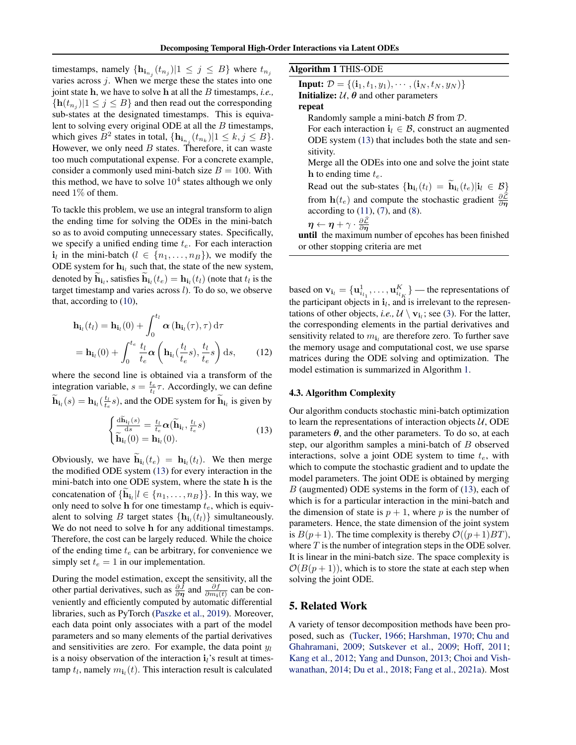timestamps, namely  $\{\mathbf{h}_{\mathbf{i}_{n_j}}(t_{n_j})|1 \leq j \leq B\}$  where  $t_{n_j}$ varies across  $j$ . When we merge these the states into one joint state h, we have to solve h at all the B timestamps, *i.e.,*  ${\bf h}(t_{n_j})|1 \leq j \leq B$  and then read out the corresponding sub-states at the designated timestamps. This is equivalent to solving every original ODE at all the  $B$  timestamps, which gives  $B^2$  states in total,  $\{\mathbf{h}_{\mathbf{i}_{n_j}}(t_{n_k}) | 1 \leq k, j \leq B\}$ . However, we only need  $B$  states. Therefore, it can waste too much computational expense. For a concrete example, consider a commonly used mini-batch size  $B = 100$ . With this method, we have to solve  $10<sup>4</sup>$  states although we only need 1% of them.

To tackle this problem, we use an integral transform to align the ending time for solving the ODEs in the mini-batch so as to avoid computing unnecessary states. Specifically, we specify a unified ending time  $t_e$ . For each interaction  $\mathbf{i}_l$  in the mini-batch  $(l \in \{n_1, \ldots, n_B\})$ , we modify the ODE system for  $h_{i_l}$  such that, the state of the new system, denoted by  $\mathbf{h}_{i_l}$ , satisfies  $\mathbf{h}_{i_l}(t_e) = \mathbf{h}_{i_l}(t_l)$  (note that  $t_l$  is the target timestamp and varies across  $l$ ). To do so, we observe that, according to [\(10\)](#page-3-2),

$$
\mathbf{h}_{i_l}(t_l) = \mathbf{h}_{i_l}(0) + \int_0^{t_l} \alpha(\mathbf{h}_{i_l}(\tau), \tau) d\tau
$$

$$
= \mathbf{h}_{i_l}(0) + \int_0^{t_e} \frac{t_l}{t_e} \alpha\left(\mathbf{h}_{i_l}(\frac{t_l}{t_e}s), \frac{t_l}{t_e}s\right) ds, \qquad (12)
$$

where the second line is obtained via a transform of the integration variable,  $s = \frac{t_e}{t_l} \tau$ . Accordingly, we can define  $\widetilde{\mathbf{h}}_{i_l}(s) = \mathbf{h}_{i_l}(\frac{t_l}{t_e}s)$ , and the ODE system for  $\widetilde{\mathbf{h}}_{i_l}$  is given by

$$
\begin{cases}\n\frac{\mathrm{d}\widetilde{\mathbf{h}}_{i_l}(s)}{\mathrm{d}s} = \frac{t_l}{t_e} \alpha(\widetilde{\mathbf{h}}_{i_l}, \frac{t_l}{t_e}s) \\
\widetilde{\mathbf{h}}_{i_l}(0) = \mathbf{h}_{i_l}(0).\n\end{cases}
$$
\n(13)

Obviously, we have  $\mathbf{h}_{i_l}(t_e) = \mathbf{h}_{i_l}(t_l)$ . We then merge the modified ODE system [\(13\)](#page-4-0) for every interaction in the mini-batch into one ODE system, where the state h is the concatenation of  $\{\mathbf{h}_{i_l} | l \in \{n_1, \ldots, n_B\}\}\.$  In this way, we only need to solve h for one timestamp  $t_e$ , which is equivalent to solving B target states  $\{h_{i_l}(t_l)\}\$  simultaneously. We do not need to solve h for any additional timestamps. Therefore, the cost can be largely reduced. While the choice of the ending time  $t_e$  can be arbitrary, for convenience we simply set  $t_e = 1$  in our implementation.

During the model estimation, except the sensitivity, all the other partial derivatives, such as  $\frac{\partial \bar{J}}{\partial \eta}$  and  $\frac{\partial f}{\partial m_i(t)}$  can be conveniently and efficiently computed by automatic differential libraries, such as PyTorch [\(Paszke et al.,](#page-9-11) [2019\)](#page-9-11). Moreover, each data point only associates with a part of the model parameters and so many elements of the partial derivatives and sensitivities are zero. For example, the data point  $y_l$ is a noisy observation of the interaction  $\mathbf{i}_l$ 's result at timestamp  $t_l$ , namely  $m_{\mathbf{i}_l}(t)$ . This interaction result is calculated

<span id="page-4-1"></span>Algorithm 1 THIS-ODE

**Input:**  $\mathcal{D} = \{(\mathbf{i}_1, t_1, y_1), \cdots, (\mathbf{i}_N, t_N, y_N)\}\$ **Initialize:**  $U$ ,  $\theta$  and other parameters repeat

Randomly sample a mini-batch  $\beta$  from  $\mathcal{D}$ .

For each interaction  $\mathbf{i}_l \in \mathcal{B}$ , construct an augmented ODE system [\(13\)](#page-4-0) that includes both the state and sensitivity.

Merge all the ODEs into one and solve the joint state h to ending time  $t_e$ .

Read out the sub-states  $\{\mathbf{h}_{i_l}(t_l) = \mathbf{h}_{i_l}(t_e) | i_l \in \mathcal{B}\}\$ from  $h(t_e)$  and compute the stochastic gradient  $\frac{\partial \mathcal{L}}{\partial \eta}$ according to  $(11)$ ,  $(7)$ , and  $(8)$ .

 $\boldsymbol{\eta} \leftarrow \boldsymbol{\eta} + \gamma \cdot \frac{\partial \mathcal{L}}{\partial \boldsymbol{\eta}}$ 

until the maximum number of epcohes has been finished or other stopping criteria are met

based on  $\mathbf{v}_{\mathbf{i}_l} = {\mathbf{u}_{i_{l_1}}^1, \dots, \mathbf{u}_{i_{l_K}}^K}$  — the representations of the participant objects in  $\mathbf{i}_l$ , and is irrelevant to the representations of other objects, *i.e.*,  $\mathcal{U} \setminus \mathbf{v}_{i_l}$ ; see [\(3\)](#page-2-2). For the latter, the corresponding elements in the partial derivatives and sensitivity related to  $m_{i_l}$  are therefore zero. To further save the memory usage and computational cost, we use sparse matrices during the ODE solving and optimization. The model estimation is summarized in Algorithm [1.](#page-4-1)

## 4.3. Algorithm Complexity

<span id="page-4-0"></span>Our algorithm conducts stochastic mini-batch optimization to learn the representations of interaction objects  $U$ , ODE parameters  $\theta$ , and the other parameters. To do so, at each step, our algorithm samples a mini-batch of B observed interactions, solve a joint ODE system to time  $t_e$ , with which to compute the stochastic gradient and to update the model parameters. The joint ODE is obtained by merging B (augmented) ODE systems in the form of [\(13\)](#page-4-0), each of which is for a particular interaction in the mini-batch and the dimension of state is  $p + 1$ , where p is the number of parameters. Hence, the state dimension of the joint system is  $B(p+1)$ . The time complexity is thereby  $\mathcal{O}((p+1)BT)$ , where  $T$  is the number of integration steps in the ODE solver. It is linear in the mini-batch size. The space complexity is  $\mathcal{O}(B(p+1))$ , which is to store the state at each step when solving the joint ODE.

## 5. Related Work

A variety of tensor decomposition methods have been proposed, such as [\(Tucker,](#page-10-0) [1966;](#page-10-0) [Harshman,](#page-9-0) [1970;](#page-9-0) [Chu and](#page-9-1) [Ghahramani,](#page-9-1) [2009;](#page-9-1) [Sutskever et al.,](#page-9-12) [2009;](#page-9-12) [Hoff,](#page-9-13) [2011;](#page-9-13) [Kang et al.,](#page-9-14) [2012;](#page-9-14) [Yang and Dunson,](#page-10-9) [2013;](#page-10-9) [Choi and Vish](#page-9-2)[wanathan,](#page-9-2) [2014;](#page-9-2) [Du et al.,](#page-9-6) [2018;](#page-9-6) [Fang et al.,](#page-9-4) [2021a\)](#page-9-4). Most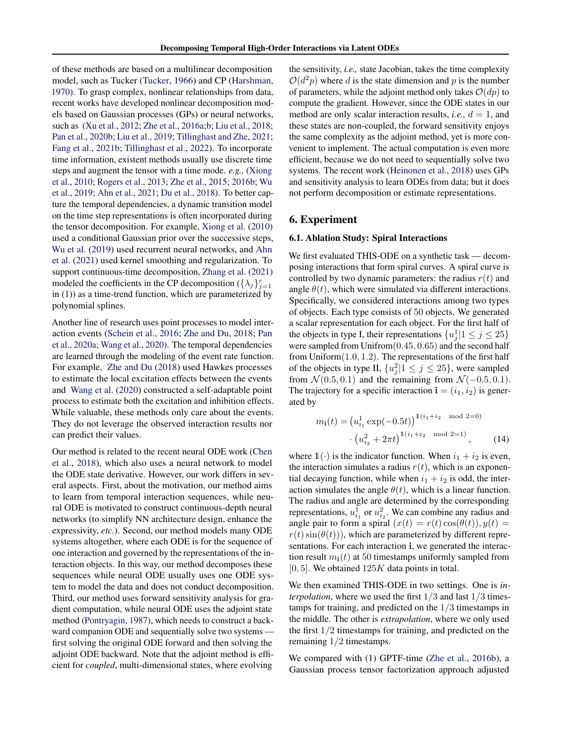of these methods are based on a multilinear decomposition model, such as Tucker [\(Tucker,](#page-10-0) [1966\)](#page-10-0) and CP [\(Harshman,](#page-9-0) [1970\)](#page-9-0). To grasp complex, nonlinear relationships from data, recent works have developed nonlinear decomposition models based on Gaussian processes (GPs) or neural networks, such as [\(Xu et al.,](#page-10-7) [2012;](#page-10-7) [Zhe et al.,](#page-10-3) [2016a;](#page-10-3)[b;](#page-10-1) [Liu et al.,](#page-9-15) [2018;](#page-9-15) [Pan et al.,](#page-9-3) [2020b;](#page-9-3) [Liu et al.,](#page-9-16) [2019;](#page-9-16) [Tillinghast and Zhe,](#page-10-10) [2021;](#page-10-10) [Fang et al.,](#page-9-17) [2021b;](#page-9-17) [Tillinghast et al.,](#page-9-18) [2022\)](#page-9-18). To incorporate time information, existent methods usually use discrete time steps and augment the tensor with a time mode. *e.g.,* [\(Xiong](#page-10-2) [et al.,](#page-10-2) [2010;](#page-10-2) [Rogers et al.,](#page-9-5) [2013;](#page-9-5) [Zhe et al.,](#page-10-8) [2015;](#page-10-8) [2016b;](#page-10-1) [Wu](#page-10-11) [et al.,](#page-10-11) [2019;](#page-10-11) [Ahn et al.,](#page-8-0) [2021;](#page-8-0) [Du et al.,](#page-9-6) [2018\)](#page-9-6). To better capture the temporal dependencies, a dynamic transition model on the time step representations is often incorporated during the tensor decomposition. For example, [Xiong et al.](#page-10-2) [\(2010\)](#page-10-2) used a conditional Gaussian prior over the successive steps, [Wu et al.](#page-10-11) [\(2019\)](#page-10-11) used recurrent neural networks, and [Ahn](#page-8-0) [et al.](#page-8-0) [\(2021\)](#page-8-0) used kernel smoothing and regularization. To support continuous-time decomposition, [Zhang et al.](#page-10-4) [\(2021\)](#page-10-4) modeled the coefficients in the CP decomposition  $({\lambda_j})_{j=1}^r$ in [\(1\)](#page-1-0)) as a time-trend function, which are parameterized by polynomial splines.

Another line of research uses point processes to model interaction events [\(Schein et al.,](#page-9-19) [2016;](#page-9-19) [Zhe and Du,](#page-10-5) [2018;](#page-10-5) [Pan](#page-9-7) [et al.,](#page-9-7) [2020a;](#page-9-7) [Wang et al.,](#page-10-6) [2020\)](#page-10-6). The temporal dependencies are learned through the modeling of the event rate function. For example, [Zhe and Du](#page-10-5) [\(2018\)](#page-10-5) used Hawkes processes to estimate the local excitation effects between the events and [Wang et al.](#page-10-6) [\(2020\)](#page-10-6) constructed a self-adaptable point process to estimate both the excitation and inhibition effects. While valuable, these methods only care about the events. They do not leverage the observed interaction results nor can predict their values.

Our method is related to the recent neural ODE work [\(Chen](#page-9-20) [et al.,](#page-9-20) [2018\)](#page-9-20), which also uses a neural network to model the ODE state derivative. However, our work differs in several aspects. First, about the motivation, our method aims to learn from temporal interaction sequences, while neural ODE is motivated to construct continuous-depth neural networks (to simplify NN architecture design, enhance the expressivity, *etc.*). Second, our method models many ODE systems altogether, where each ODE is for the sequence of one interaction and governed by the representations of the interaction objects. In this way, our method decomposes these sequences while neural ODE usually uses one ODE system to model the data and does not conduct decomposition. Third, our method uses forward sensitivity analysis for gradient computation, while neural ODE uses the adjoint state method [\(Pontryagin,](#page-9-21) [1987\)](#page-9-21), which needs to construct a backward companion ODE and sequentially solve two systems first solving the original ODE forward and then solving the adjoint ODE backward. Note that the adjoint method is efficient for *coupled*, multi-dimensional states, where evolving

the sensitivity, *i.e.,* state Jacobian, takes the time complexity  $O(d^2p)$  where d is the state dimension and p is the number of parameters, while the adjoint method only takes  $\mathcal{O}(dp)$  to compute the gradient. However, since the ODE states in our method are only scalar interaction results, *i.e.*,  $d = 1$ , and these states are non-coupled, the forward sensitivity enjoys the same complexity as the adjoint method, yet is more convenient to implement. The actual computation is even more efficient, because we do not need to sequentially solve two systems. The recent work [\(Heinonen et al.,](#page-9-22) [2018\)](#page-9-22) uses GPs and sensitivity analysis to learn ODEs from data; but it does not perform decomposition or estimate representations.

## 6. Experiment

#### <span id="page-5-1"></span>6.1. Ablation Study: Spiral Interactions

We first evaluated THIS-ODE on a synthetic task — decomposing interactions that form spiral curves. A spiral curve is controlled by two dynamic parameters: the radius  $r(t)$  and angle  $\theta(t)$ , which were simulated via different interactions. Specifically, we considered interactions among two types of objects. Each type consists of 50 objects. We generated a scalar representation for each object. For the first half of the objects in type I, their representations  $\{u_j^1 | 1 \le j \le 25\}$ were sampled from Unifrom(0.45, 0.65) and the second half from  $Uniform(1.0, 1.2)$ . The representations of the first half of the objects in type II,  $\{u_j^2 | 1 \le j \le 25\}$ , were sampled from  $\mathcal{N}(0.5, 0.1)$  and the remaining from  $\mathcal{N}(-0.5, 0.1)$ . The trajectory for a specific interaction  $\mathbf{i} = (i_1, i_2)$  is generated by

<span id="page-5-0"></span>
$$
m_{\mathbf{i}}(t) = (u_{i_1}^1 \exp(-0.5t))^{1(i_1 + i_2 \mod 2 = 0)}
$$

$$
\cdot (u_{i_2}^2 + 2\pi t)^{1(i_1 + i_2 \mod 2 = 1)}, \quad (14)
$$

where  $1(\cdot)$  is the indicator function. When  $i_1 + i_2$  is even, the interaction simulates a radius  $r(t)$ , which is an exponential decaying function, while when  $i_1 + i_2$  is odd, the interaction simulates the angle  $\theta(t)$ , which is a linear function. The radius and angle are determined by the corresponding representations,  $u_{i_1}^1$  or  $u_{i_2}^2$ . We can combine any radius and angle pair to form a spiral  $(x(t) = r(t)\cos(\theta(t)), y(t) =$  $r(t)$  sin( $\theta(t)$ )), which are parameterized by different representations. For each interaction i, we generated the interaction result  $m_i(t)$  at 50 timestamps uniformly sampled from  $[0, 5]$ . We obtained  $125K$  data points in total.

We then examined THIS-ODE in two settings. One is *interpolation*, where we used the first 1/3 and last 1/3 timestamps for training, and predicted on the 1/3 timestamps in the middle. The other is *extrapolation*, where we only used the first 1/2 timestamps for training, and predicted on the remaining 1/2 timestamps.

We compared with (1) GPTF-time [\(Zhe et al.,](#page-10-1) [2016b\)](#page-10-1), a Gaussian process tensor factorization approach adjusted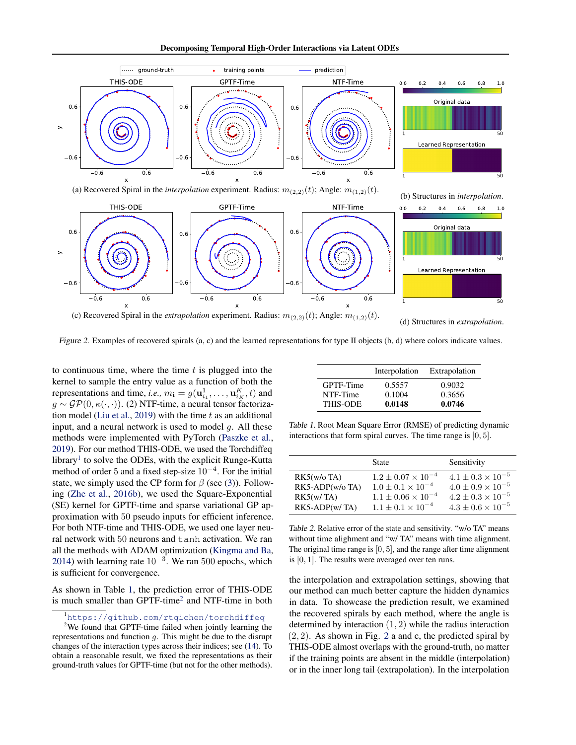Decomposing Temporal High-Order Interactions via Latent ODEs

<span id="page-6-3"></span>

Figure 2. Examples of recovered spirals (a, c) and the learned representations for type II objects (b, d) where colors indicate values.

to continuous time, where the time  $t$  is plugged into the kernel to sample the entry value as a function of both the representations and time, *i.e.*,  $m_i = g(\mathbf{u}_{i_1}^1, \dots, \mathbf{u}_{i_K}^K, t)$  and  $g \sim \mathcal{GP}(0, \kappa(\cdot, \cdot))$ . (2) NTF-time, a neural tensor factoriza-tion model [\(Liu et al.,](#page-9-16) [2019\)](#page-9-16) with the time  $t$  as an additional input, and a neural network is used to model  $q$ . All these methods were implemented with PyTorch [\(Paszke et al.,](#page-9-11) [2019\)](#page-9-11). For our method THIS-ODE, we used the Torchdiffeq library<sup>[1](#page-6-0)</sup> to solve the ODEs, with the explicit Runge-Kutta method of order 5 and a fixed step-size  $10^{-4}$ . For the initial state, we simply used the CP form for  $\beta$  (see [\(3\)](#page-2-2)). Following [\(Zhe et al.,](#page-10-1) [2016b\)](#page-10-1), we used the Square-Exponential (SE) kernel for GPTF-time and sparse variational GP approximation with 50 pseudo inputs for efficient inference. For both NTF-time and THIS-ODE, we used one layer neural network with 50 neurons and tanh activation. We ran all the methods with ADAM optimization [\(Kingma and Ba,](#page-9-23) [2014\)](#page-9-23) with learning rate  $10^{-3}$ . We ran 500 epochs, which is sufficient for convergence.

As shown in Table [1,](#page-6-1) the prediction error of THIS-ODE is much smaller than  $GPTF$ -time<sup>[2](#page-6-2)</sup> and NTF-time in both

#### <span id="page-6-2"></span><span id="page-6-0"></span><sup>1</sup><https://github.com/rtqichen/torchdiffeq>

<span id="page-6-1"></span>

|                 | Interpolation | Extrapolation |
|-----------------|---------------|---------------|
| GPTF-Time       | 0.5557        | 0.9032        |
| NTF-Time        | 0.1004        | 0.3656        |
| <b>THIS-ODE</b> | 0.0148        | 0.0746        |

Table 1. Root Mean Square Error (RMSE) of predicting dynamic interactions that form spiral curves. The time range is [0, 5].

<span id="page-6-4"></span>

|                                                | State                                                                                          | Sensitivity                                                                              |
|------------------------------------------------|------------------------------------------------------------------------------------------------|------------------------------------------------------------------------------------------|
| $RK5(w/o)$ TA)<br>RK5-ADP(w/o TA)<br>RK5(w/TA) | $1.2 \pm 0.07 \times 10^{-4}$<br>$1.0 \pm 0.1 \times 10^{-4}$<br>$1.1 \pm 0.06 \times 10^{-4}$ | $4.1 + 0.3 \times 10^{-5}$<br>$4.0 + 0.9 \times 10^{-5}$<br>$4.2 \pm 0.3 \times 10^{-5}$ |
| $RK5-ADP(w/TA)$                                | $1.1 + 0.1 \times 10^{-4}$                                                                     | $4.3 \pm 0.6 \times 10^{-5}$                                                             |

Table 2. Relative error of the state and sensitivity. "w/o TA" means without time alighment and "w/ TA" means with time alignment. The original time range is [0, 5], and the range after time alignment is [0, 1]. The results were averaged over ten runs.

the interpolation and extrapolation settings, showing that our method can much better capture the hidden dynamics in data. To showcase the prediction result, we examined the recovered spirals by each method, where the angle is determined by interaction  $(1, 2)$  while the radius interaction  $(2, 2)$  $(2, 2)$  $(2, 2)$ . As shown in Fig. 2 a and c, the predicted spiral by THIS-ODE almost overlaps with the ground-truth, no matter if the training points are absent in the middle (interpolation) or in the inner long tail (extrapolation). In the interpolation

<sup>&</sup>lt;sup>2</sup>We found that GPTF-time failed when jointly learning the representations and function g. This might be due to the disrupt changes of the interaction types across their indices; see [\(14\)](#page-5-0). To obtain a reasonable result, we fixed the representations as their ground-truth values for GPTF-time (but not for the other methods).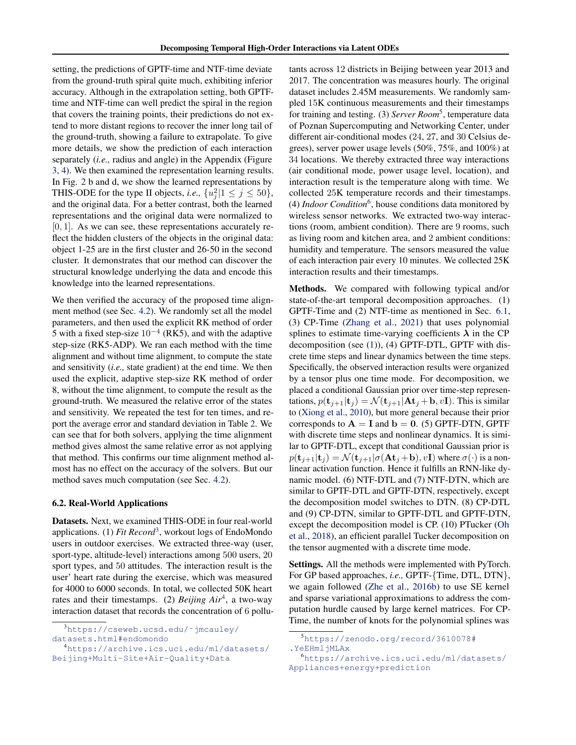setting, the predictions of GPTF-time and NTF-time deviate from the ground-truth spiral quite much, exhibiting inferior accuracy. Although in the extrapolation setting, both GPTFtime and NTF-time can well predict the spiral in the region that covers the training points, their predictions do not extend to more distant regions to recover the inner long tail of the ground-truth, showing a failure to extrapolate. To give more details, we show the prediction of each interaction separately (*i.e.,* radius and angle) in the Appendix (Figure [3,](#page-12-0) [4\)](#page-13-0). We then examined the representation learning results. In Fig. [2](#page-6-3) b and d, we show the learned representations by THIS-ODE for the type II objects, *i.e.*,  $\{u_j^2 | 1 \le j \le 50\}$ , and the original data. For a better contrast, both the learned representations and the original data were normalized to  $[0, 1]$ . As we can see, these representations accurately reflect the hidden clusters of the objects in the original data: object 1-25 are in the first cluster and 26-50 in the second cluster. It demonstrates that our method can discover the structural knowledge underlying the data and encode this knowledge into the learned representations.

We then verified the accuracy of the proposed time alignment method (see Sec. [4.2\)](#page-3-6). We randomly set all the model parameters, and then used the explicit RK method of order 5 with a fixed step-size  $10^{-4}$  (RK5), and with the adaptive step-size (RK5-ADP). We ran each method with the time alignment and without time alignment, to compute the state and sensitivity (*i.e.,* state gradient) at the end time. We then used the explicit, adaptive step-size RK method of order 8, without the time alignment, to compute the result as the ground-truth. We measured the relative error of the states and sensitivity. We repeated the test for ten times, and report the average error and standard deviation in Table [2.](#page-6-4) We can see that for both solvers, applying the time alignment method gives almost the same relative error as not applying that method. This confirms our time alignment method almost has no effect on the accuracy of the solvers. But our method saves much computation (see Sec. [4.2\)](#page-3-6).

#### 6.2. Real-World Applications

Datasets. Next, we examined THIS-ODE in four real-world applications. (1) *Fit Record*<sup>[3](#page-7-0)</sup>, workout logs of EndoMondo users in outdoor exercises. We extracted three-way (user, sport-type, altitude-level) interactions among 500 users, 20 sport types, and 50 attitudes. The interaction result is the user' heart rate during the exercise, which was measured for 4000 to 6000 seconds. In total, we collected 50K heart rates and their timestamps. (2) *Beijing Air*[4](#page-7-1) , a two-way interaction dataset that records the concentration of 6 pollutants across 12 districts in Beijing between year 2013 and 2017. The concentration was measures hourly. The original dataset includes 2.45M measurements. We randomly sampled 15K continuous measurements and their timestamps for training and testing. (3) *Server Room*<sup>[5](#page-7-2)</sup>, temperature data of Poznan Supercomputing and Networking Center, under different air-conditional modes (24, 27, and 30 Celsius degrees), server power usage levels (50%, 75%, and 100%) at 34 locations. We thereby extracted three way interactions (air conditional mode, power usage level, location), and interaction result is the temperature along with time. We collected 25K temperature records and their timestamps. (4) *Indoor Condition*[6](#page-7-3) , house conditions data monitored by wireless sensor networks. We extracted two-way interactions (room, ambient condition). There are 9 rooms, such as living room and kitchen area, and 2 ambient conditions: humidity and temperature. The sensors measured the value of each interaction pair every 10 minutes. We collected 25K interaction results and their timestamps.

Methods. We compared with following typical and/or state-of-the-art temporal decomposition approaches. (1) GPTF-Time and (2) NTF-time as mentioned in Sec. [6.1,](#page-5-1) (3) CP-Time [\(Zhang et al.,](#page-10-4) [2021\)](#page-10-4) that uses polynomial splines to estimate time-varying coefficients  $\lambda$  in the CP decomposition (see [\(1\)](#page-1-0)), (4) GPTF-DTL, GPTF with discrete time steps and linear dynamics between the time steps. Specifically, the observed interaction results were organized by a tensor plus one time mode. For decomposition, we placed a conditional Gaussian prior over time-step representations,  $p(\mathbf{t}_{i+1}|\mathbf{t}_i) = \mathcal{N}(\mathbf{t}_{i+1}|\mathbf{At}_i + \mathbf{b}, v\mathbf{I})$ . This is similar to [\(Xiong et al.,](#page-10-2) [2010\)](#page-10-2), but more general because their prior corresponds to  $A = I$  and  $b = 0$ . (5) GPTF-DTN, GPTF with discrete time steps and nonlinear dynamics. It is similar to GPTF-DTL, except that conditional Gaussian prior is  $p(\mathbf{t}_{j+1}|\mathbf{t}_j) = \mathcal{N}(\mathbf{t}_{j+1}|\sigma(\mathbf{A}\mathbf{t}_j+\mathbf{b}), v\mathbf{I})$  where  $\sigma(\cdot)$  is a nonlinear activation function. Hence it fulfills an RNN-like dynamic model. (6) NTF-DTL and (7) NTF-DTN, which are similar to GPTF-DTL and GPTF-DTN, respectively, except the decomposition model switches to DTN. (8) CP-DTL and (9) CP-DTN, similar to GPTF-DTL and GPTF-DTN, except the decomposition model is CP. (10) PTucker [\(Oh](#page-9-24) [et al.,](#page-9-24) [2018\)](#page-9-24), an efficient parallel Tucker decomposition on the tensor augmented with a discrete time mode.

Settings. All the methods were implemented with PyTorch. For GP based approaches, *i.e.,* GPTF-{Time, DTL, DTN}, we again followed [\(Zhe et al.,](#page-10-1) [2016b\)](#page-10-1) to use SE kernel and sparse variational approximations to address the computation hurdle caused by large kernel matrices. For CP-Time, the number of knots for the polynomial splines was

<span id="page-7-0"></span><sup>3</sup>[https://cseweb.ucsd.edu/˜jmcauley/](https://cseweb.ucsd.edu/~jmcauley/datasets.html#endomondo) [datasets.html#endomondo](https://cseweb.ucsd.edu/~jmcauley/datasets.html#endomondo)

<span id="page-7-1"></span><sup>4</sup>[https://archive.ics.uci.edu/ml/datasets/](https://archive.ics.uci.edu/ml/datasets/Beijing+Multi-Site+Air-Quality+Data) [Beijing+Multi-Site+Air-Quality+Data](https://archive.ics.uci.edu/ml/datasets/Beijing+Multi-Site+Air-Quality+Data)

<span id="page-7-2"></span><sup>5</sup>[https://zenodo.org/record/3610078#](https://zenodo.org/record/3610078#.YeEHmljMLAx) [.YeEHmljMLAx](https://zenodo.org/record/3610078#.YeEHmljMLAx)

<span id="page-7-3"></span><sup>6</sup>[https://archive.ics.uci.edu/ml/datasets/](https://archive.ics.uci.edu/ml/datasets/Appliances+energy+prediction) [Appliances+energy+prediction](https://archive.ics.uci.edu/ml/datasets/Appliances+energy+prediction)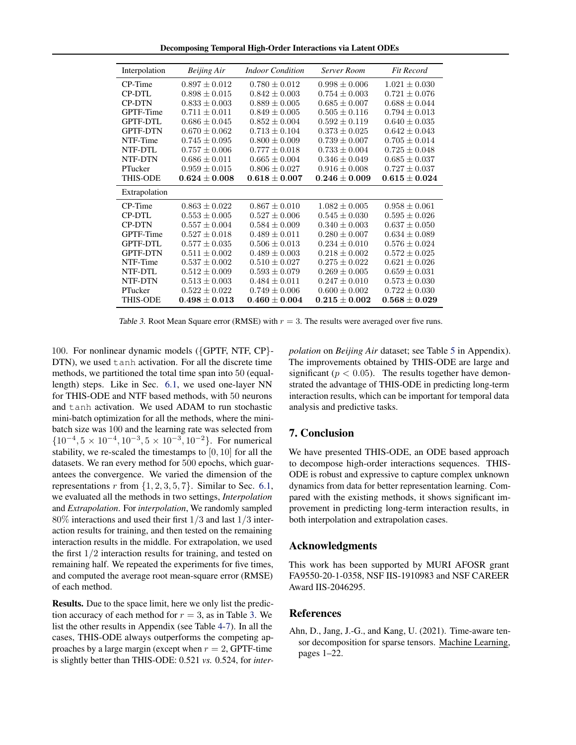Decomposing Temporal High-Order Interactions via Latent ODEs

<span id="page-8-1"></span>

| Interpolation   | <b>Beijing Air</b> | <b>Indoor Condition</b> | <b>Server Room</b> | <b>Fit Record</b> |
|-----------------|--------------------|-------------------------|--------------------|-------------------|
| CP-Time         | $0.897 \pm 0.012$  | $0.780 \pm 0.012$       | $0.998 \pm 0.006$  | $1.021 \pm 0.030$ |
| CP-DTL          | $0.898 \pm 0.015$  | $0.842 \pm 0.003$       | $0.754 \pm 0.003$  | $0.721 \pm 0.076$ |
| <b>CP-DTN</b>   | $0.833 + 0.003$    | $0.889 + 0.005$         | $0.685 + 0.007$    | $0.688 + 0.044$   |
| GPTF-Time       | $0.711 \pm 0.011$  | $0.849 \pm 0.005$       | $0.505 \pm 0.116$  | $0.794 \pm 0.013$ |
| <b>GPTF-DTL</b> | $0.686 \pm 0.045$  | $0.852 \pm 0.004$       | $0.592 \pm 0.119$  | $0.640 \pm 0.035$ |
| <b>GPTF-DTN</b> | $0.670 \pm 0.062$  | $0.713 \pm 0.104$       | $0.373 \pm 0.025$  | $0.642 \pm 0.043$ |
| NTF-Time        | $0.745 \pm 0.095$  | $0.800 \pm 0.009$       | $0.739 \pm 0.007$  | $0.705 \pm 0.014$ |
| NTF-DTL         | $0.757 \pm 0.006$  | $0.777 + 0.018$         | $0.733 \pm 0.004$  | $0.725 + 0.048$   |
| NTF-DTN         | $0.686 \pm 0.011$  | $0.665 \pm 0.004$       | $0.346 \pm 0.049$  | $0.685 \pm 0.037$ |
| PTucker         | $0.959 \pm 0.015$  | $0.806 \pm 0.027$       | $0.916 \pm 0.008$  | $0.727 \pm 0.037$ |
| <b>THIS-ODE</b> | $0.624 \pm 0.008$  | $0.618 \pm 0.007$       | $0.246 \pm 0.009$  | $0.615 \pm 0.024$ |
| Extrapolation   |                    |                         |                    |                   |
| CP-Time         | $0.863 \pm 0.022$  | $0.867 \pm 0.010$       | $1.082 \pm 0.005$  | $0.958 \pm 0.061$ |
| CP-DTL          | $0.553 + 0.005$    | $0.527 + 0.006$         | $0.545 + 0.030$    | $0.595 + 0.026$   |
| <b>CP-DTN</b>   | $0.557 \pm 0.004$  | $0.584 \pm 0.009$       | $0.340 \pm 0.003$  | $0.637 \pm 0.050$ |
| GPTF-Time       | $0.527 \pm 0.018$  | $0.489 \pm 0.011$       | $0.280 \pm 0.007$  | $0.634 \pm 0.089$ |
| <b>GPTF-DTL</b> | $0.577 \pm 0.035$  | $0.506 \pm 0.013$       | $0.234 \pm 0.010$  | $0.576 \pm 0.024$ |
| <b>GPTF-DTN</b> | $0.511 \pm 0.002$  | $0.489 \pm 0.003$       | $0.218 \pm 0.002$  | $0.572 \pm 0.025$ |
| NTF-Time        | $0.537 + 0.002$    | $0.510 \pm 0.027$       | $0.275 + 0.022$    | $0.621 \pm 0.026$ |
| NTF-DTL         | $0.512 \pm 0.009$  | $0.593 \pm 0.079$       | $0.269 \pm 0.005$  | $0.659 \pm 0.031$ |
| NTF-DTN         | $0.513 \pm 0.003$  | $0.484 \pm 0.011$       | $0.247 \pm 0.010$  | $0.573 \pm 0.030$ |
| PTucker         | $0.522 \pm 0.022$  | $0.749 \pm 0.006$       | $0.600 \pm 0.002$  | $0.722 \pm 0.030$ |
| <b>THIS-ODE</b> | $0.498 + 0.013$    | $0.460 + 0.004$         | $0.215 + 0.002$    | $0.568 + 0.029$   |

Table 3. Root Mean Square error (RMSE) with  $r = 3$ . The results were averaged over five runs.

100. For nonlinear dynamic models ({GPTF, NTF, CP}- DTN), we used tanh activation. For all the discrete time methods, we partitioned the total time span into 50 (equallength) steps. Like in Sec. [6.1,](#page-5-1) we used one-layer NN for THIS-ODE and NTF based methods, with 50 neurons and tanh activation. We used ADAM to run stochastic mini-batch optimization for all the methods, where the minibatch size was 100 and the learning rate was selected from  ${10<sup>-4</sup>, 5 \times 10<sup>-4</sup>, 10<sup>-3</sup>, 5 \times 10<sup>-3</sup>, 10<sup>-2</sup>}.$  For numerical stability, we re-scaled the timestamps to  $[0, 10]$  for all the datasets. We ran every method for 500 epochs, which guarantees the convergence. We varied the dimension of the representations r from  $\{1, 2, 3, 5, 7\}$ . Similar to Sec. [6.1,](#page-5-1) we evaluated all the methods in two settings, *Interpolation* and *Extrapolation*. For *interpolation*, We randomly sampled 80% interactions and used their first 1/3 and last 1/3 interaction results for training, and then tested on the remaining interaction results in the middle. For extrapolation, we used the first  $1/2$  interaction results for training, and tested on remaining half. We repeated the experiments for five times, and computed the average root mean-square error (RMSE) of each method.

Results. Due to the space limit, here we only list the prediction accuracy of each method for  $r = 3$ , as in Table [3.](#page-8-1) We list the other results in Appendix (see Table [4-](#page-14-0)[7\)](#page-15-0). In all the cases, THIS-ODE always outperforms the competing approaches by a large margin (except when  $r = 2$ , GPTF-time is slightly better than THIS-ODE: 0.521 *vs.* 0.524, for *inter-* *polation* on *Beijing Air* dataset; see Table [5](#page-14-1) in Appendix). The improvements obtained by THIS-ODE are large and significant ( $p < 0.05$ ). The results together have demonstrated the advantage of THIS-ODE in predicting long-term interaction results, which can be important for temporal data analysis and predictive tasks.

# 7. Conclusion

We have presented THIS-ODE, an ODE based approach to decompose high-order interactions sequences. THIS-ODE is robust and expressive to capture complex unknown dynamics from data for better representation learning. Compared with the existing methods, it shows significant improvement in predicting long-term interaction results, in both interpolation and extrapolation cases.

#### Acknowledgments

This work has been supported by MURI AFOSR grant FA9550-20-1-0358, NSF IIS-1910983 and NSF CAREER Award IIS-2046295.

#### References

<span id="page-8-0"></span>Ahn, D., Jang, J.-G., and Kang, U. (2021). Time-aware tensor decomposition for sparse tensors. Machine Learning, pages 1–22.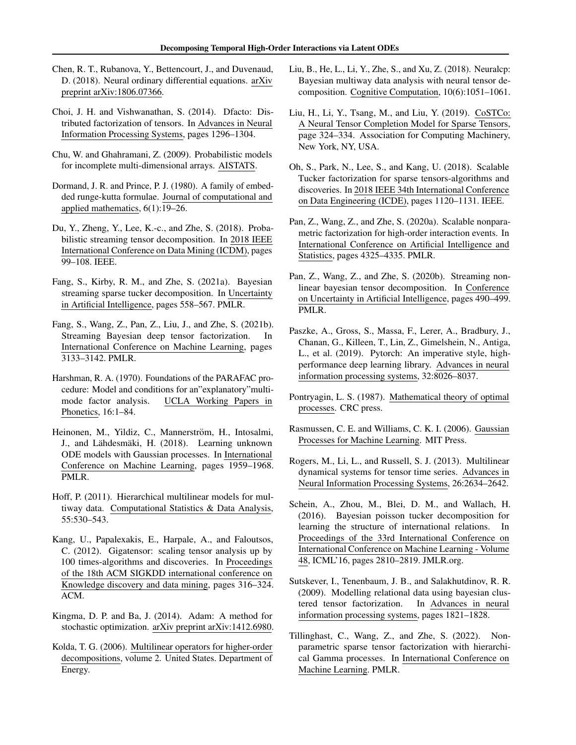- <span id="page-9-20"></span>Chen, R. T., Rubanova, Y., Bettencourt, J., and Duvenaud, D. (2018). Neural ordinary differential equations. arXiv preprint arXiv:1806.07366.
- <span id="page-9-2"></span>Choi, J. H. and Vishwanathan, S. (2014). Dfacto: Distributed factorization of tensors. In Advances in Neural Information Processing Systems, pages 1296–1304.
- <span id="page-9-1"></span>Chu, W. and Ghahramani, Z. (2009). Probabilistic models for incomplete multi-dimensional arrays. AISTATS.
- <span id="page-9-10"></span>Dormand, J. R. and Prince, P. J. (1980). A family of embedded runge-kutta formulae. Journal of computational and applied mathematics, 6(1):19–26.
- <span id="page-9-6"></span>Du, Y., Zheng, Y., Lee, K.-c., and Zhe, S. (2018). Probabilistic streaming tensor decomposition. In 2018 IEEE International Conference on Data Mining (ICDM), pages 99–108. IEEE.
- <span id="page-9-4"></span>Fang, S., Kirby, R. M., and Zhe, S. (2021a). Bayesian streaming sparse tucker decomposition. In Uncertainty in Artificial Intelligence, pages 558–567. PMLR.
- <span id="page-9-17"></span>Fang, S., Wang, Z., Pan, Z., Liu, J., and Zhe, S. (2021b). Streaming Bayesian deep tensor factorization. In International Conference on Machine Learning, pages 3133–3142. PMLR.
- <span id="page-9-0"></span>Harshman, R. A. (1970). Foundations of the PARAFAC procedure: Model and conditions for an"explanatory"multimode factor analysis. UCLA Working Papers in Phonetics, 16:1–84.
- <span id="page-9-22"></span>Heinonen, M., Yildiz, C., Mannerström, H., Intosalmi, J., and Lähdesmäki, H. (2018). Learning unknown ODE models with Gaussian processes. In International Conference on Machine Learning, pages 1959–1968. PMLR.
- <span id="page-9-13"></span>Hoff, P. (2011). Hierarchical multilinear models for multiway data. Computational Statistics & Data Analysis, 55:530–543.
- <span id="page-9-14"></span>Kang, U., Papalexakis, E., Harpale, A., and Faloutsos, C. (2012). Gigatensor: scaling tensor analysis up by 100 times-algorithms and discoveries. In Proceedings of the 18th ACM SIGKDD international conference on Knowledge discovery and data mining, pages 316–324. ACM.
- <span id="page-9-23"></span>Kingma, D. P. and Ba, J. (2014). Adam: A method for stochastic optimization. arXiv preprint arXiv:1412.6980.
- <span id="page-9-8"></span>Kolda, T. G. (2006). Multilinear operators for higher-order decompositions, volume 2. United States. Department of Energy.
- <span id="page-9-15"></span>Liu, B., He, L., Li, Y., Zhe, S., and Xu, Z. (2018). Neuralcp: Bayesian multiway data analysis with neural tensor decomposition. Cognitive Computation, 10(6):1051–1061.
- <span id="page-9-16"></span>Liu, H., Li, Y., Tsang, M., and Liu, Y. (2019). CoSTCo: A Neural Tensor Completion Model for Sparse Tensors, page 324–334. Association for Computing Machinery, New York, NY, USA.
- <span id="page-9-24"></span>Oh, S., Park, N., Lee, S., and Kang, U. (2018). Scalable Tucker factorization for sparse tensors-algorithms and discoveries. In 2018 IEEE 34th International Conference on Data Engineering (ICDE), pages 1120–1131. IEEE.
- <span id="page-9-7"></span>Pan, Z., Wang, Z., and Zhe, S. (2020a). Scalable nonparametric factorization for high-order interaction events. In International Conference on Artificial Intelligence and Statistics, pages 4325–4335. PMLR.
- <span id="page-9-3"></span>Pan, Z., Wang, Z., and Zhe, S. (2020b). Streaming nonlinear bayesian tensor decomposition. In Conference on Uncertainty in Artificial Intelligence, pages 490–499. PMLR.
- <span id="page-9-11"></span>Paszke, A., Gross, S., Massa, F., Lerer, A., Bradbury, J., Chanan, G., Killeen, T., Lin, Z., Gimelshein, N., Antiga, L., et al. (2019). Pytorch: An imperative style, highperformance deep learning library. Advances in neural information processing systems, 32:8026–8037.
- <span id="page-9-21"></span>Pontryagin, L. S. (1987). Mathematical theory of optimal processes. CRC press.
- <span id="page-9-9"></span>Rasmussen, C. E. and Williams, C. K. I. (2006). Gaussian Processes for Machine Learning. MIT Press.
- <span id="page-9-5"></span>Rogers, M., Li, L., and Russell, S. J. (2013). Multilinear dynamical systems for tensor time series. Advances in Neural Information Processing Systems, 26:2634–2642.
- <span id="page-9-19"></span>Schein, A., Zhou, M., Blei, D. M., and Wallach, H. (2016). Bayesian poisson tucker decomposition for learning the structure of international relations. In Proceedings of the 33rd International Conference on International Conference on Machine Learning - Volume 48, ICML'16, pages 2810–2819. JMLR.org.
- <span id="page-9-12"></span>Sutskever, I., Tenenbaum, J. B., and Salakhutdinov, R. R. (2009). Modelling relational data using bayesian clustered tensor factorization. In Advances in neural information processing systems, pages 1821–1828.
- <span id="page-9-18"></span>Tillinghast, C., Wang, Z., and Zhe, S. (2022). Nonparametric sparse tensor factorization with hierarchical Gamma processes. In International Conference on Machine Learning. PMLR.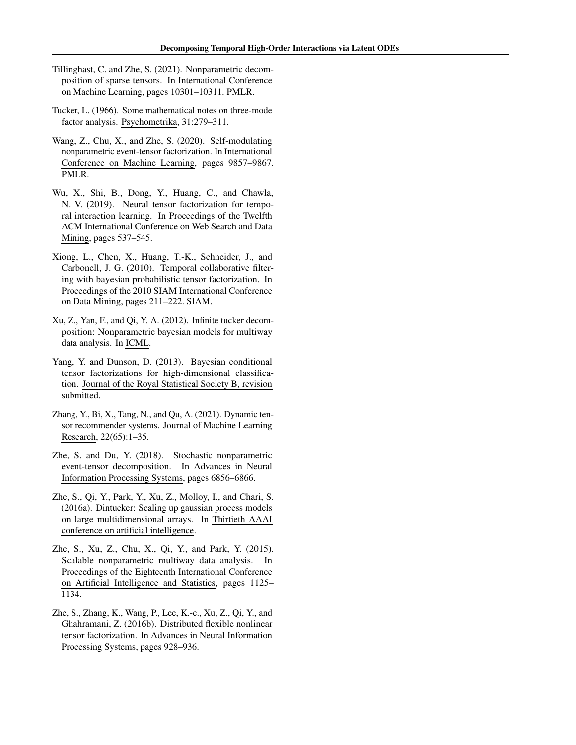- <span id="page-10-10"></span>Tillinghast, C. and Zhe, S. (2021). Nonparametric decomposition of sparse tensors. In International Conference on Machine Learning, pages 10301–10311. PMLR.
- <span id="page-10-0"></span>Tucker, L. (1966). Some mathematical notes on three-mode factor analysis. Psychometrika, 31:279–311.
- <span id="page-10-6"></span>Wang, Z., Chu, X., and Zhe, S. (2020). Self-modulating nonparametric event-tensor factorization. In International Conference on Machine Learning, pages 9857–9867. PMLR.
- <span id="page-10-11"></span>Wu, X., Shi, B., Dong, Y., Huang, C., and Chawla, N. V. (2019). Neural tensor factorization for temporal interaction learning. In Proceedings of the Twelfth ACM International Conference on Web Search and Data Mining, pages 537–545.
- <span id="page-10-2"></span>Xiong, L., Chen, X., Huang, T.-K., Schneider, J., and Carbonell, J. G. (2010). Temporal collaborative filtering with bayesian probabilistic tensor factorization. In Proceedings of the 2010 SIAM International Conference on Data Mining, pages 211–222. SIAM.
- <span id="page-10-7"></span>Xu, Z., Yan, F., and Qi, Y. A. (2012). Infinite tucker decomposition: Nonparametric bayesian models for multiway data analysis. In ICML.
- <span id="page-10-9"></span>Yang, Y. and Dunson, D. (2013). Bayesian conditional tensor factorizations for high-dimensional classification. Journal of the Royal Statistical Society B, revision submitted.
- <span id="page-10-4"></span>Zhang, Y., Bi, X., Tang, N., and Qu, A. (2021). Dynamic tensor recommender systems. Journal of Machine Learning Research, 22(65):1–35.
- <span id="page-10-5"></span>Zhe, S. and Du, Y. (2018). Stochastic nonparametric event-tensor decomposition. In Advances in Neural Information Processing Systems, pages 6856–6866.
- <span id="page-10-3"></span>Zhe, S., Qi, Y., Park, Y., Xu, Z., Molloy, I., and Chari, S. (2016a). Dintucker: Scaling up gaussian process models on large multidimensional arrays. In Thirtieth AAAI conference on artificial intelligence.
- <span id="page-10-8"></span>Zhe, S., Xu, Z., Chu, X., Qi, Y., and Park, Y. (2015). Scalable nonparametric multiway data analysis. In Proceedings of the Eighteenth International Conference on Artificial Intelligence and Statistics, pages 1125– 1134.
- <span id="page-10-1"></span>Zhe, S., Zhang, K., Wang, P., Lee, K.-c., Xu, Z., Qi, Y., and Ghahramani, Z. (2016b). Distributed flexible nonlinear tensor factorization. In Advances in Neural Information Processing Systems, pages 928–936.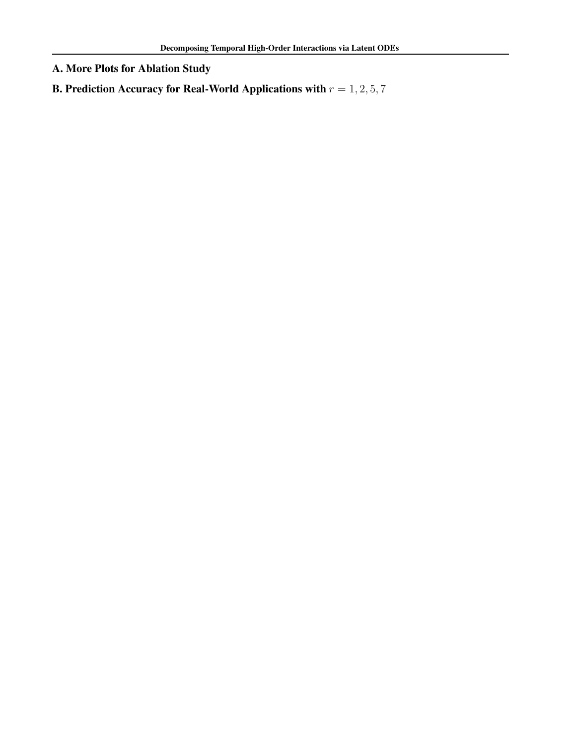A. More Plots for Ablation Study

B. Prediction Accuracy for Real-World Applications with  $r = 1, 2, 5, 7$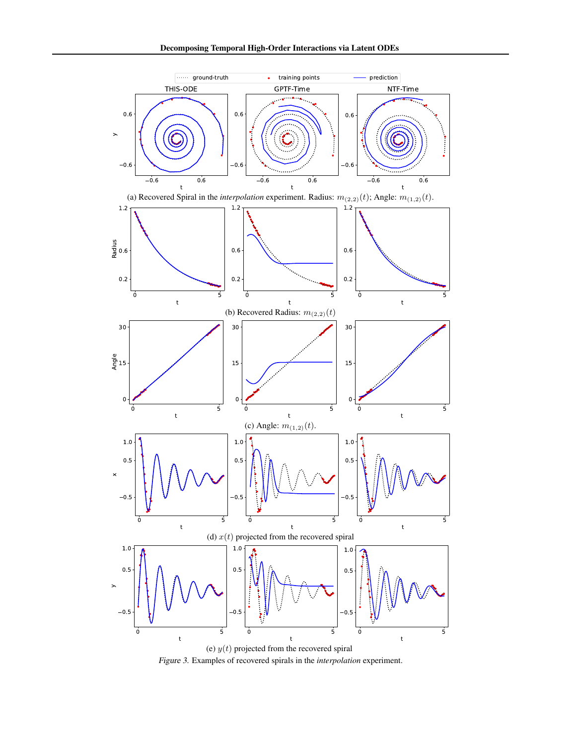<span id="page-12-0"></span>

Figure 3. Examples of recovered spirals in the *interpolation* experiment.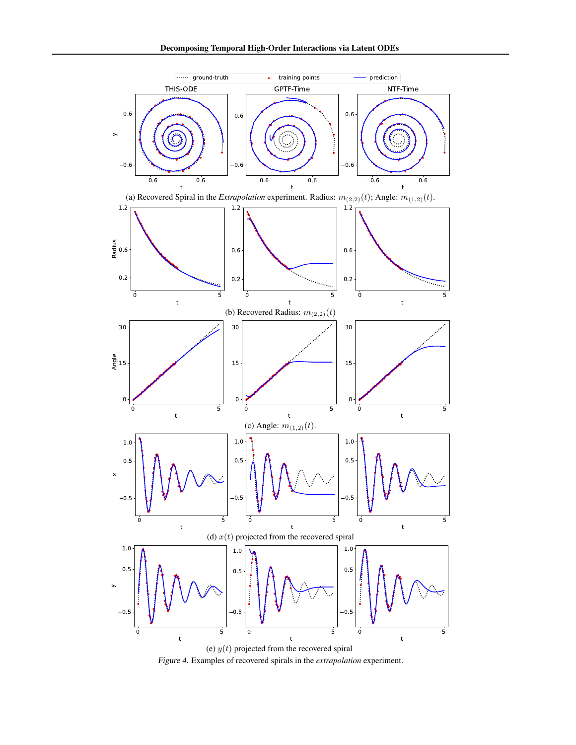<span id="page-13-0"></span>

Figure 4. Examples of recovered spirals in the *extrapolation* experiment.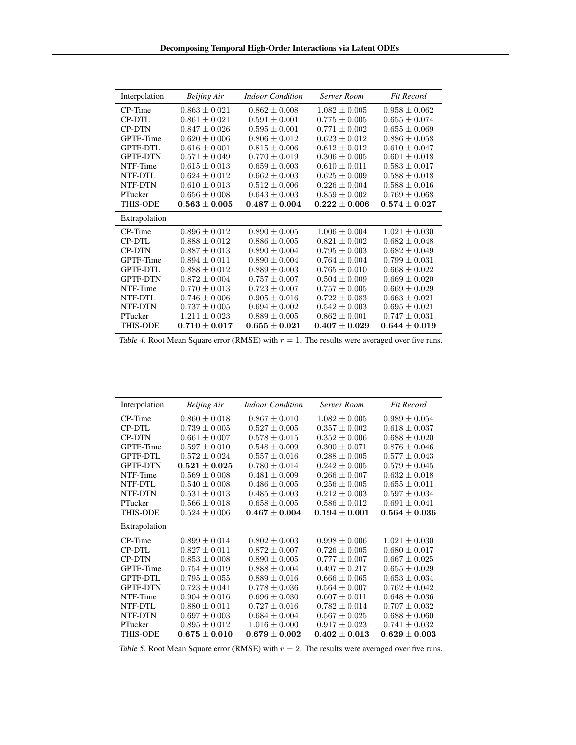<span id="page-14-0"></span>

| Interpolation   | <b>Beijing Air</b> | <b>Indoor Condition</b> | <b>Server Room</b> | <b>Fit Record</b> |
|-----------------|--------------------|-------------------------|--------------------|-------------------|
| CP-Time         | $0.863 \pm 0.021$  | $0.862 \pm 0.008$       | $1.082 \pm 0.005$  | $0.958 \pm 0.062$ |
| <b>CP-DTL</b>   | $0.861 \pm 0.021$  | $0.591 \pm 0.001$       | $0.775 \pm 0.005$  | $0.655 \pm 0.074$ |
| <b>CP-DTN</b>   | $0.847 \pm 0.026$  | $0.595 \pm 0.001$       | $0.771 \pm 0.002$  | $0.655 \pm 0.069$ |
| GPTF-Time       | $0.620 \pm 0.006$  | $0.806 \pm 0.012$       | $0.623 \pm 0.012$  | $0.886 \pm 0.058$ |
| <b>GPTF-DTL</b> | $0.616 \pm 0.001$  | $0.815 \pm 0.006$       | $0.612 \pm 0.012$  | $0.610 \pm 0.047$ |
| <b>GPTF-DTN</b> | $0.571 \pm 0.049$  | $0.770 \pm 0.019$       | $0.306 \pm 0.005$  | $0.601 \pm 0.018$ |
| NTF-Time        | $0.615 \pm 0.013$  | $0.659 \pm 0.003$       | $0.610 \pm 0.011$  | $0.583 \pm 0.017$ |
| NTF-DTL         | $0.624 \pm 0.012$  | $0.662 \pm 0.003$       | $0.625 \pm 0.009$  | $0.588 \pm 0.018$ |
| NTF-DTN         | $0.610 \pm 0.013$  | $0.512 \pm 0.006$       | $0.226 \pm 0.004$  | $0.588 \pm 0.016$ |
| PTucker         | $0.656 \pm 0.008$  | $0.643 \pm 0.003$       | $0.859 \pm 0.002$  | $0.769 \pm 0.068$ |
| <b>THIS-ODE</b> | $0.563 \pm 0.005$  | $0.487 \pm 0.004$       | $0.222 \pm 0.006$  | $0.574\pm0.027$   |
| Extrapolation   |                    |                         |                    |                   |
| CP-Time         | $0.896 \pm 0.012$  | $0.890 \pm 0.005$       | $1.006 \pm 0.004$  | $1.021 \pm 0.030$ |
| <b>CP-DTL</b>   | $0.888 \pm 0.012$  | $0.886 \pm 0.005$       | $0.821 \pm 0.002$  | $0.682 \pm 0.048$ |
| <b>CP-DTN</b>   | $0.887 \pm 0.013$  | $0.890 \pm 0.004$       | $0.795 \pm 0.003$  | $0.682 \pm 0.049$ |
| GPTF-Time       | $0.894 \pm 0.011$  | $0.890 \pm 0.004$       | $0.764 \pm 0.004$  | $0.799 \pm 0.031$ |
| <b>GPTF-DTL</b> | $0.888 \pm 0.012$  | $0.889 \pm 0.003$       | $0.765 \pm 0.010$  | $0.668 \pm 0.022$ |
| <b>GPTF-DTN</b> | $0.872 + 0.004$    | $0.757 \pm 0.007$       | $0.504 \pm 0.009$  | $0.669 \pm 0.020$ |
| NTF-Time        | $0.770 \pm 0.013$  | $0.723 \pm 0.007$       | $0.757 \pm 0.005$  | $0.669 \pm 0.029$ |
| NTF-DTL         | $0.746 \pm 0.006$  | $0.905 \pm 0.016$       | $0.722 \pm 0.083$  | $0.663 \pm 0.021$ |
| NTF-DTN         | $0.737 \pm 0.005$  | $0.694 \pm 0.002$       | $0.542 \pm 0.003$  | $0.695 \pm 0.021$ |
|                 |                    |                         |                    |                   |
| PTucker         | $1.211 \pm 0.023$  | $0.889 \pm 0.005$       | $0.862 \pm 0.001$  | $0.747 \pm 0.031$ |

Table 4. Root Mean Square error (RMSE) with  $r = 1$ . The results were averaged over five runs.

<span id="page-14-1"></span>

| Interpolation   | Beijing Air       | <b>Indoor Condition</b> | <b>Server Room</b> | <b>Fit Record</b> |
|-----------------|-------------------|-------------------------|--------------------|-------------------|
| CP-Time         | $0.860 \pm 0.018$ | $0.867 \pm 0.010$       | $1.082 \pm 0.005$  | $0.989 \pm 0.054$ |
| <b>CP-DTL</b>   | $0.739 \pm 0.005$ | $0.527 \pm 0.005$       | $0.357 \pm 0.002$  | $0.618 \pm 0.037$ |
| <b>CP-DTN</b>   | $0.661 \pm 0.007$ | $0.578 \pm 0.015$       | $0.352 \pm 0.006$  | $0.688 \pm 0.020$ |
| GPTF-Time       | $0.597 \pm 0.010$ | $0.548 \pm 0.009$       | $0.300 \pm 0.071$  | $0.876 \pm 0.046$ |
| <b>GPTF-DTL</b> | $0.572 + 0.024$   | $0.557 + 0.016$         | $0.288 + 0.005$    | $0.577 + 0.043$   |
| <b>GPTF-DTN</b> | $0.521 \pm 0.025$ | $0.780 \pm 0.014$       | $0.242 \pm 0.005$  | $0.579 \pm 0.045$ |
| NTF-Time        | $0.569 + 0.008$   | $0.481 \pm 0.009$       | $0.266 + 0.007$    | $0.632 \pm 0.018$ |
| NTF-DTL         | $0.540 \pm 0.008$ | $0.486 \pm 0.005$       | $0.256 \pm 0.005$  | $0.655 \pm 0.011$ |
| NTF-DTN         | $0.531 \pm 0.013$ | $0.485 \pm 0.003$       | $0.212 \pm 0.003$  | $0.597 \pm 0.034$ |
| PTucker         | $0.566 \pm 0.018$ | $0.658 \pm 0.005$       | $0.586 \pm 0.012$  | $0.691 \pm 0.041$ |
| <b>THIS-ODE</b> | $0.524 \pm 0.006$ | $0.467 \pm 0.004$       | $0.194 \pm 0.001$  | $0.564 \pm 0.036$ |
| Extrapolation   |                   |                         |                    |                   |
| CP-Time         | $0.899 \pm 0.014$ | $0.802 \pm 0.003$       | $0.998 \pm 0.006$  | $1.021 \pm 0.030$ |
| CP-DTL          | $0.827 \pm 0.011$ | $0.872 \pm 0.007$       | $0.726 \pm 0.005$  | $0.680 \pm 0.017$ |
| <b>CP-DTN</b>   | $0.853 \pm 0.008$ | $0.890 \pm 0.005$       | $0.777 \pm 0.007$  | $0.667 \pm 0.025$ |
| GPTF-Time       | $0.754 \pm 0.019$ | $0.888 \pm 0.004$       | $0.497 + 0.217$    | $0.655 \pm 0.029$ |
| <b>GPTF-DTL</b> | $0.795 \pm 0.055$ | $0.889 \pm 0.016$       | $0.666 \pm 0.065$  | $0.653 \pm 0.034$ |
| <b>GPTF-DTN</b> | $0.723 \pm 0.041$ | $0.778 \pm 0.036$       | $0.564 \pm 0.007$  | $0.762 \pm 0.042$ |
| NTF-Time        | $0.904 \pm 0.016$ | $0.696 \pm 0.030$       | $0.607 \pm 0.011$  | $0.648 \pm 0.036$ |
| NTF-DTL         | $0.880 \pm 0.011$ | $0.727 \pm 0.016$       | $0.782 \pm 0.014$  | $0.707 \pm 0.032$ |
| NTF-DTN         | $0.697 \pm 0.003$ | $0.684 \pm 0.004$       | $0.567 \pm 0.025$  | $0.688 \pm 0.060$ |
| PTucker         | $0.895 \pm 0.012$ | $1.016 \pm 0.000$       | $0.917 + 0.023$    | $0.741 \pm 0.032$ |
| <b>THIS-ODE</b> | $0.675 + 0.010$   | $0.679 + 0.002$         | $0.402 \pm 0.013$  | $0.629 + 0.003$   |

Table 5. Root Mean Square error (RMSE) with  $r = 2$ . The results were averaged over five runs.